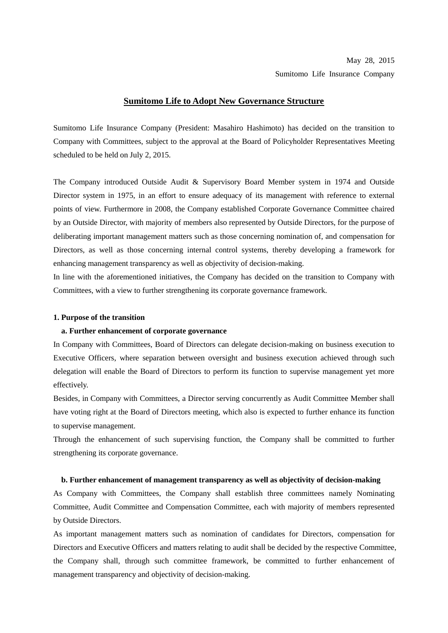# May 28, 2015

# Sumitomo Life Insurance Company

## **Sumitomo Life to Adopt New Governance Structure**

Sumitomo Life Insurance Company (President: Masahiro Hashimoto) has decided on the transition to Company with Committees, subject to the approval at the Board of Policyholder Representatives Meeting scheduled to be held on July 2, 2015.

The Company introduced Outside Audit & Supervisory Board Member system in 1974 and Outside Director system in 1975, in an effort to ensure adequacy of its management with reference to external points of view. Furthermore in 2008, the Company established Corporate Governance Committee chaired by an Outside Director, with majority of members also represented by Outside Directors, for the purpose of deliberating important management matters such as those concerning nomination of, and compensation for Directors, as well as those concerning internal control systems, thereby developing a framework for enhancing management transparency as well as objectivity of decision-making.

In line with the aforementioned initiatives, the Company has decided on the transition to Company with Committees, with a view to further strengthening its corporate governance framework.

## **1. Purpose of the transition**

#### **a. Further enhancement of corporate governance**

In Company with Committees, Board of Directors can delegate decision-making on business execution to Executive Officers, where separation between oversight and business execution achieved through such delegation will enable the Board of Directors to perform its function to supervise management yet more effectively.

Besides, in Company with Committees, a Director serving concurrently as Audit Committee Member shall have voting right at the Board of Directors meeting, which also is expected to further enhance its function to supervise management.

Through the enhancement of such supervising function, the Company shall be committed to further strengthening its corporate governance.

#### **b. Further enhancement of management transparency as well as objectivity of decision-making**

As Company with Committees, the Company shall establish three committees namely Nominating Committee, Audit Committee and Compensation Committee, each with majority of members represented by Outside Directors.

As important management matters such as nomination of candidates for Directors, compensation for Directors and Executive Officers and matters relating to audit shall be decided by the respective Committee, the Company shall, through such committee framework, be committed to further enhancement of management transparency and objectivity of decision-making.